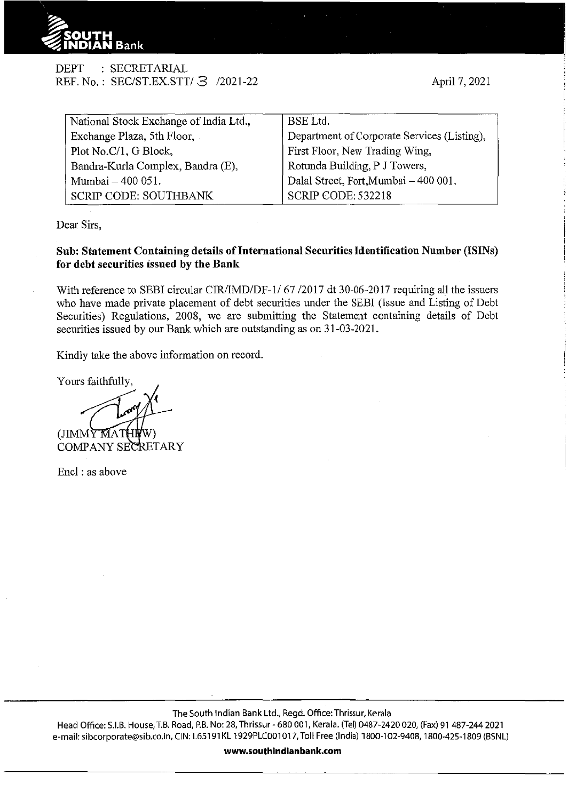

DEPT : SECRETARIAL REF. No.: SEC/ST.EX.STT/ 3 /2021-22

| National Stock Exchange of India Ltd., | <b>BSE</b> Ltd.                             |  |  |  |
|----------------------------------------|---------------------------------------------|--|--|--|
| Exchange Plaza, 5th Floor,             | Department of Corporate Services (Listing), |  |  |  |
| Plot No.C/1, G Block,                  | First Floor, New Trading Wing,              |  |  |  |
| Bandra-Kurla Complex, Bandra (E),      | Rotunda Building, P J Towers,               |  |  |  |
| Mumbai - 400 051.                      | Dalal Street, Fort, Mumbai - 400 001.       |  |  |  |
| <b>SCRIP CODE: SOUTHBANK</b>           | <b>SCRIP CODE: 532218</b>                   |  |  |  |

Dear Sirs,

## **Sub: Statement Containing details of International Securities Identification Number (ISINs) for debt securities issued by the Bank**

With reference to SEBI circular CIR/IMD/DF-1/ 67 /2017 dt 30-06-2017 requiring all the issuers who have made private placement of debt securities tmder the SEBI (Issue and Listing of Debt Securities) Regulations, 2008, we are submitting the Statement containing details of Debt securities issued by our Bank which are outstanding as on 31-03-2021.

Kindly take the above information on record.

Yours faithfully,

(JIMMY MAT

COMPANY SECRETARY

Encl : as above

The South Indian Bank Ltd., Regd. Office: Thrissur, Kerala

Head Office: S.I.B. House, T.B. Road, P.B. No: 28, Thrissur- 680 001, Kerala. (Tel) 0487-2420 020, (Fax) 91 487-244 2021 e-mail: sibcorporate@sib.co.in, CIN: L65191 KL 1929PLC001 017, Toll Free (India) 1800-102-9408, 1800-425-1809 (BSNL)

**www.southindianbank.com**